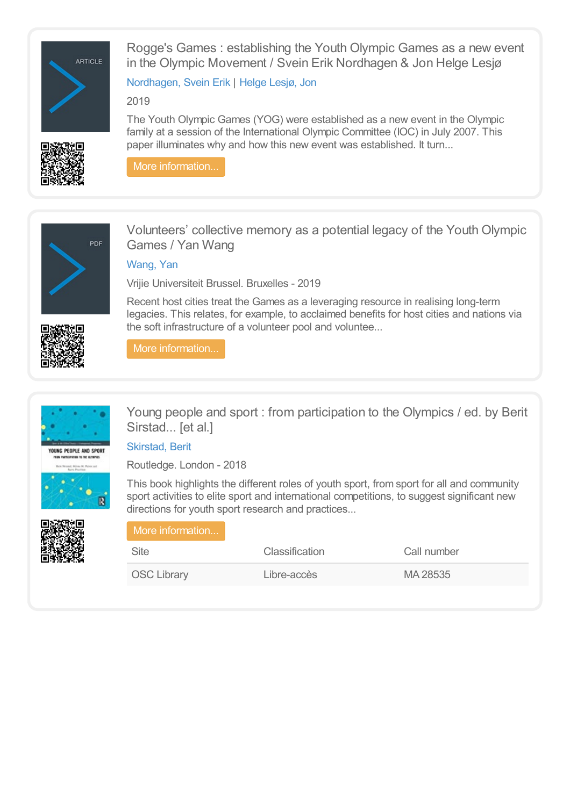

Rogge's Games : establishing the Youth Olympic Games as a new event in the Olympic Movement / Svein Erik Nordhagen & Jon Helge Lesjø

[Nordhagen,](https://library.olympics.com/Default/search.aspx?SC=DEFAULT&QUERY=Authority_id_idx%253a177943&QUERY_LABEL=Nordhagen%252c+Svein+Erik) Svein Erik | Helge [Lesjø,](https://library.olympics.com/Default/search.aspx?SC=DEFAULT&QUERY=Authority_id_idx:21425&QUERY_LABEL=Helge+Lesj%25C3%25B8%252c+Jon) Jon

2019



The Youth Olympic Games (YOG) were established as a new event in the Olympic family at a session of the International Olympic Committee (IOC) in July 2007. This paper illuminates why and how this new event was established. It turn...

More [information...](https://library.olympics.com/Default/doc/SYRACUSE/184700/rogge-s-games-establishing-the-youth-olympic-games-as-a-new-event-in-the-olympic-movement-svein-erik)



Volunteers' collective memory as a potential legacy of the Youth Olympic Games / Yan Wang

# [Wang,](https://library.olympics.com/Default/search.aspx?SC=DEFAULT&QUERY=Authority_id_idx%253a185846&QUERY_LABEL=Wang%252c+Yan+) Yan

Vrijie Universiteit Brussel. Bruxelles - 2019

Recent host cities treat the Games as a leveraging resource in realising long-term legacies. This relates, for example, to acclaimed benefits for host cities and nations via the soft infrastructure of a volunteer pool and voluntee...

More [information...](https://library.olympics.com/Default/doc/SYRACUSE/185851/volunteers-collective-memory-as-a-potential-legacy-of-the-youth-olympic-games-yan-wang)





Young people and sport : from participation to the Olympics / ed. by Berit Sirstad... [et al.]

[Skirstad,](https://library.olympics.com/Default/search.aspx?SC=DEFAULT&QUERY=Authority_id_idx%253a173371&QUERY_LABEL=Skirstad%252c+Berit) Berit

Routledge. London - 2018

This book highlights the different roles of youth sport, from sport for all and community sport activities to elite sport and international competitions, to suggest significant new directions for youth sport research and practices...

| More information   |                       |             |  |
|--------------------|-----------------------|-------------|--|
| Site               | <b>Classification</b> | Call number |  |
| <b>OSC Library</b> | Libre-accès           | MA 28535    |  |

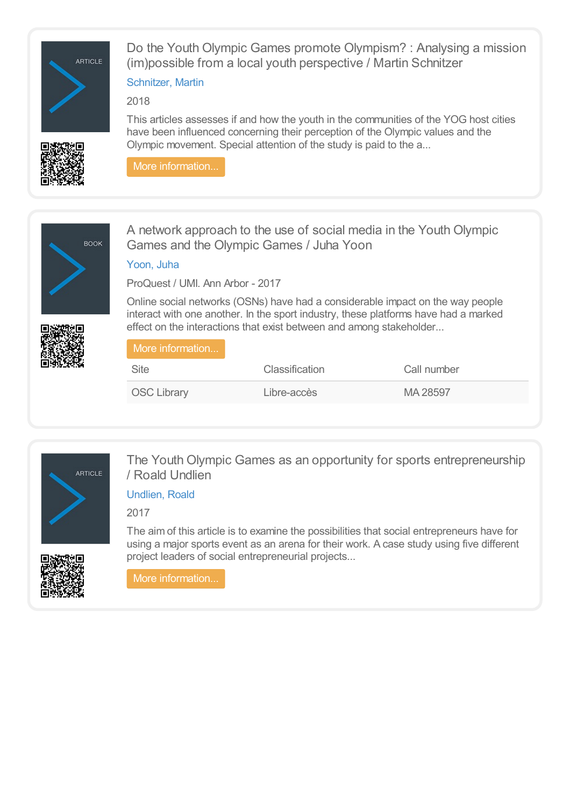

Do the Youth Olympic Games promote Olympism? : Analysing a mission (im)possible from a local youth perspective / Martin Schnitzer

### [Schnitzer,](https://library.olympics.com/Default/search.aspx?SC=DEFAULT&QUERY=Authority_id_idx%253a37647&QUERY_LABEL=Schnitzer%252c+Martin) Martin

### 2018



This articles assesses if and how the youth in the communities of the YOG host cities have been influenced concerning their perception of the Olympic values and the Olympic movement. Special attention of the study is paid to the a...

More [information...](https://library.olympics.com/Default/doc/SYRACUSE/173886/do-the-youth-olympic-games-promote-olympism-analysing-a-mission-im-possible-from-a-local-youth-persp)



A network approach to the use of social media in the Youth Olympic Games and the Olympic Games / Juha Yoon

[Yoon,](https://library.olympics.com/Default/search.aspx?SC=DEFAULT&QUERY=Authority_id_idx%253a173859&QUERY_LABEL=Yoon%252c+Juha) Juha

ProQuest / UMI. Ann Arbor - 2017

Online social networks (OSNs) have had a considerable impact on the way people interact with one another. In the sport industry, these platforms have had a marked effect on the interactions that exist between and among stakeholder...

| More information   |                       |             |
|--------------------|-----------------------|-------------|
| <b>Site</b>        | <b>Classification</b> | Call number |
| <b>OSC Library</b> | Libre-accès           | MA 28597    |



The Youth Olympic Games as an opportunity for sports entrepreneurship / Roald Undlien

[Undlien,](https://library.olympics.com/Default/search.aspx?SC=DEFAULT&QUERY=Authority_id_idx%253a171522&QUERY_LABEL=Undlien%252c+Roald) Roald

2017



The aim of this article is to examine the possibilities that social entrepreneurs have for using a major sports event as an arena for their work. A case study using five different project leaders of social entrepreneurial projects...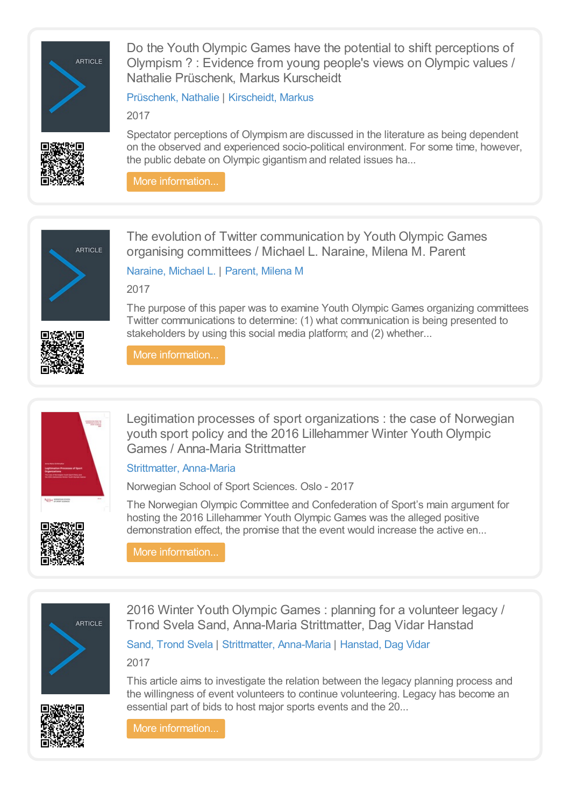

Do the Youth Olympic Games have the potential to shift perceptions of Olympism ? : Evidence from young people's views on Olympic values / Nathalie Prüschenk, Markus Kurscheidt

[Prüschenk,](https://library.olympics.com/Default/search.aspx?SC=DEFAULT&QUERY=Authority_id_idx:171535&QUERY_LABEL=Pr%25C3%25BCschenk%252c+Nathalie) Nathalie | [Kirscheidt,](https://library.olympics.com/Default/search.aspx?SC=DEFAULT&QUERY=Authority_id_idx%253a171536&QUERY_LABEL=Kirscheidt%252c+Markus) Markus

2017

Spectator perceptions of Olympism are discussed in the literature as being dependent on the observed and experienced socio-political environment. For some time, however, the public debate on Olympic gigantism and related issues ha...

More [information...](https://library.olympics.com/Default/doc/SYRACUSE/171534/do-the-youth-olympic-games-have-the-potential-to-shift-perceptions-of-olympism-evidence-from-young-p)





The evolution of Twitter communication by Youth Olympic Games organising committees / Michael L. Naraine, Milena M. Parent

[Naraine,](https://library.olympics.com/Default/search.aspx?SC=DEFAULT&QUERY=Authority_id_idx%253a166434&QUERY_LABEL=Naraine%252c+Michael+L.) Michael L. | [Parent,](https://library.olympics.com/Default/search.aspx?SC=DEFAULT&QUERY=Authority_id_idx%253a78179&QUERY_LABEL=Parent%252c+Milena+M) Milena M

2017

The purpose of this paper was to examine Youth Olympic Games organizing committees Twitter communications to determine: (1) what communication is being presented to stakeholders by using this social media platform; and (2) whether...

More [information...](https://library.olympics.com/Default/doc/SYRACUSE/172228/the-evolution-of-twitter-communication-by-youth-olympic-games-organising-committees-michael-l-narain)



Legitimation processes of sport organizations : the case of Norwegian youth sport policy and the 2016 Lillehammer Winter Youth Olympic Games / Anna-Maria Strittmatter

[Strittmatter,](https://library.olympics.com/Default/search.aspx?SC=DEFAULT&QUERY=Authority_id_idx%253a171518&QUERY_LABEL=Strittmatter%252c+Anna-Maria) Anna-Maria

Norwegian School of Sport Sciences. Oslo - 2017

The Norwegian Olympic Committee and Confederation of Sport's main argument for hosting the 2016 Lillehammer Youth Olympic Games was the alleged positive demonstration effect, the promise that the event would increase the active en...

More [information...](https://library.olympics.com/Default/doc/SYRACUSE/175793/legitimation-processes-of-sport-organizations-the-case-of-norwegian-youth-sport-policy-and-the-2016-)



2016 Winter Youth Olympic Games : planning for a volunteer legacy / Trond Svela Sand, Anna-Maria Strittmatter, Dag Vidar Hanstad

Sand, [Trond](https://library.olympics.com/Default/search.aspx?SC=DEFAULT&QUERY=Authority_id_idx%253a171517&QUERY_LABEL=Sand%252c+Trond+Svela) Svela | [Strittmatter,](https://library.olympics.com/Default/search.aspx?SC=DEFAULT&QUERY=Authority_id_idx%253a171518&QUERY_LABEL=Strittmatter%252c+Anna-Maria) Anna-Maria | [Hanstad,](https://library.olympics.com/Default/search.aspx?SC=DEFAULT&QUERY=Authority_id_idx%253a156238&QUERY_LABEL=Hanstad%252c+Dag+Vidar) Dag Vidar

2017

This article aims to investigate the relation between the legacy planning process and the willingness of event volunteers to continue volunteering. Legacy has become an essential part of bids to host major sports events and the 20...

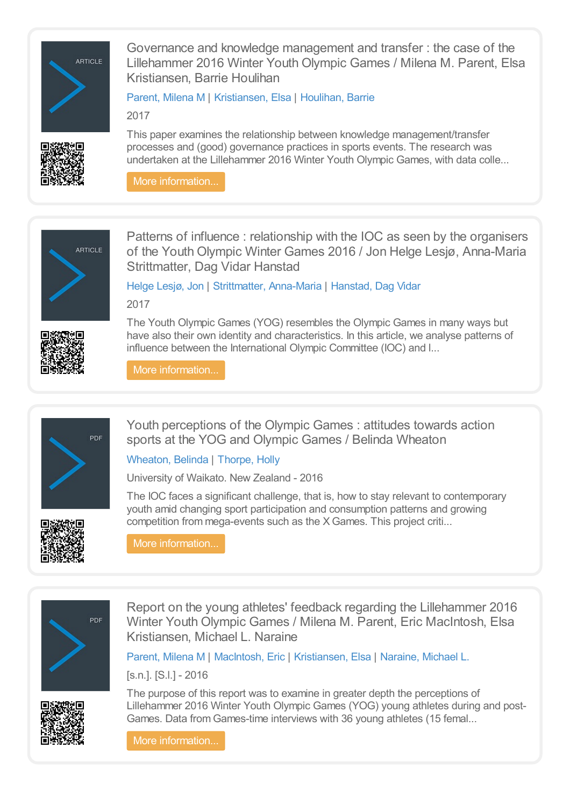

Governance and knowledge management and transfer : the case of the Lillehammer 2016 Winter Youth Olympic Games / Milena M. Parent, Elsa Kristiansen, Barrie Houlihan

[Parent,](https://library.olympics.com/Default/search.aspx?SC=DEFAULT&QUERY=Authority_id_idx%253a78179&QUERY_LABEL=Parent%252c+Milena+M) Milena M | [Kristiansen,](https://library.olympics.com/Default/search.aspx?SC=DEFAULT&QUERY=Authority_id_idx%253a165172&QUERY_LABEL=Kristiansen%252c+Elsa) Elsa | [Houlihan,](https://library.olympics.com/Default/search.aspx?SC=DEFAULT&QUERY=Authority_id_idx%253a29485&QUERY_LABEL=Houlihan%252c+Barrie) Barrie

2017

This paper examines the relationship between knowledge management/transfer processes and (good) governance practices in sports events. The research was undertaken at the Lillehammer 2016 Winter Youth Olympic Games, with data colle...

More [information...](https://library.olympics.com/Default/doc/SYRACUSE/171524/governance-and-knowledge-management-and-transfer-the-case-of-the-lillehammer-2016-winter-youth-olymp)





Patterns of influence : relationship with the IOC as seen by the organisers of the Youth Olympic Winter Games 2016 / Jon Helge Lesjø, Anna-Maria Strittmatter, Dag Vidar Hanstad

Helge [Lesjø,](https://library.olympics.com/Default/search.aspx?SC=DEFAULT&QUERY=Authority_id_idx:21425&QUERY_LABEL=Helge+Lesj%25C3%25B8%252c+Jon) Jon | [Strittmatter,](https://library.olympics.com/Default/search.aspx?SC=DEFAULT&QUERY=Authority_id_idx%253a171518&QUERY_LABEL=Strittmatter%252c+Anna-Maria) Anna-Maria | [Hanstad,](https://library.olympics.com/Default/search.aspx?SC=DEFAULT&QUERY=Authority_id_idx%253a156238&QUERY_LABEL=Hanstad%252c+Dag+Vidar) Dag Vidar 2017

The Youth Olympic Games (YOG) resembles the Olympic Games in many ways but have also their own identity and characteristics. In this article, we analyse patterns of influence between the International Olympic Committee (IOC) and l...

More [information...](https://library.olympics.com/Default/doc/SYRACUSE/171533/patterns-of-influence-relationship-with-the-ioc-as-seen-by-the-organisers-of-the-youth-olympic-winte)



Youth perceptions of the Olympic Games : attitudes towards action sports at the YOG and Olympic Games / Belinda Wheaton

[Wheaton,](https://library.olympics.com/Default/search.aspx?SC=DEFAULT&QUERY=Authority_id_idx%253a48068&QUERY_LABEL=Wheaton%252c+Belinda) Belinda | [Thorpe,](https://library.olympics.com/Default/search.aspx?SC=DEFAULT&QUERY=Authority_id_idx%253a26565&QUERY_LABEL=Thorpe%252c+Holly) Holly

University of Waikato. New Zealand - 2016

The IOC faces a significant challenge, that is, how to stay relevant to contemporary youth amid changing sport participation and consumption patterns and growing competition from mega-events such as the XGames. This project criti...



More [information...](https://library.olympics.com/Default/doc/SYRACUSE/165853/youth-perceptions-of-the-olympic-games-attitudes-towards-action-sports-at-the-yog-and-olympic-games-)



Report on the young athletes' feedback regarding the Lillehammer 2016 Winter Youth Olympic Games / Milena M. Parent, Eric MacIntosh, Elsa Kristiansen, Michael L. Naraine

[Parent,](https://library.olympics.com/Default/search.aspx?SC=DEFAULT&QUERY=Authority_id_idx%253a78179&QUERY_LABEL=Parent%252c+Milena+M) Milena M | [MacIntosh,](https://library.olympics.com/Default/search.aspx?SC=DEFAULT&QUERY=Authority_id_idx%253a166433&QUERY_LABEL=MacIntosh%252c+Eric) Eric | [Kristiansen,](https://library.olympics.com/Default/search.aspx?SC=DEFAULT&QUERY=Authority_id_idx%253a165172&QUERY_LABEL=Kristiansen%252c+Elsa) Elsa | [Naraine,](https://library.olympics.com/Default/search.aspx?SC=DEFAULT&QUERY=Authority_id_idx%253a166434&QUERY_LABEL=Naraine%252c+Michael+L.) Michael L.

[s.n.]. [S.l.] - 2016

The purpose of this report was to examine in greater depth the perceptions of Lillehammer 2016 Winter Youth Olympic Games (YOG) young athletes during and post-Games. Data from Games-time interviews with 36 young athletes (15 femal...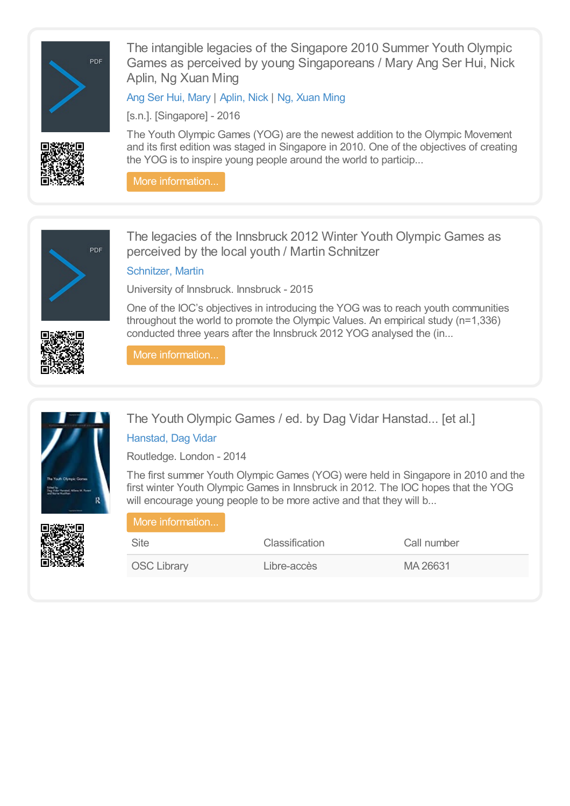

The intangible legacies of the Singapore 2010 Summer Youth Olympic Games as perceived by young Singaporeans / Mary Ang Ser Hui, Nick Aplin, Ng Xuan Ming

Ang Ser Hui, [Mary](https://library.olympics.com/Default/search.aspx?SC=DEFAULT&QUERY=Authority_id_idx%253a166131&QUERY_LABEL=Ang+Ser+Hui%252c+Mary) | [Aplin,](https://library.olympics.com/Default/search.aspx?SC=DEFAULT&QUERY=Authority_id_idx%253a43754&QUERY_LABEL=Aplin%252c+Nick) Nick | Ng, [Xuan](https://library.olympics.com/Default/search.aspx?SC=DEFAULT&QUERY=Authority_id_idx%253a166270&QUERY_LABEL=Ng%252c+Xuan+Ming) Ming

[s.n.]. [Singapore] - 2016

The Youth Olympic Games (YOG) are the newest addition to the Olympic Movement and its first edition was staged in Singapore in 2010. One of the objectives of creating the YOG is to inspire young people around the world to particip...

More [information...](https://library.olympics.com/Default/doc/SYRACUSE/166132/the-intangible-legacies-of-the-singapore-2010-summer-youth-olympic-games-as-perceived-by-young-singa)



The legacies of the Innsbruck 2012 Winter Youth Olympic Games as perceived by the local youth / Martin Schnitzer

# [Schnitzer,](https://library.olympics.com/Default/search.aspx?SC=DEFAULT&QUERY=Authority_id_idx%253a37647&QUERY_LABEL=Schnitzer%252c+Martin) Martin

University of Innsbruck. Innsbruck - 2015

One of the IOC's objectives in introducing the YOG was to reach youth communities throughout the world to promote the Olympic Values. An empirical study (n=1,336) conducted three years after the Innsbruck 2012 YOG analysed the (in...

More [information...](https://library.olympics.com/Default/doc/SYRACUSE/68068/the-legacies-of-the-innsbruck-2012-winter-youth-olympic-games-as-perceived-by-the-local-youth-martin)



The Youth Olympic Games / ed. by Dag Vidar Hanstad... [et al.] [Hanstad,](https://library.olympics.com/Default/search.aspx?SC=DEFAULT&QUERY=Authority_id_idx%253a156238&QUERY_LABEL=Hanstad%252c+Dag+Vidar) Dag Vidar

Routledge. London - 2014

The first summer Youth Olympic Games (YOG) were held in Singapore in 2010 and the first winter Youth Olympic Games in Innsbruck in 2012. The IOC hopes that the YOG

will encourage young people to be more active and that they will b...

| More information   |                       |             |
|--------------------|-----------------------|-------------|
| Site               | <b>Classification</b> | Call number |
| <b>OSC Library</b> | Libre-accès           | MA 26631    |